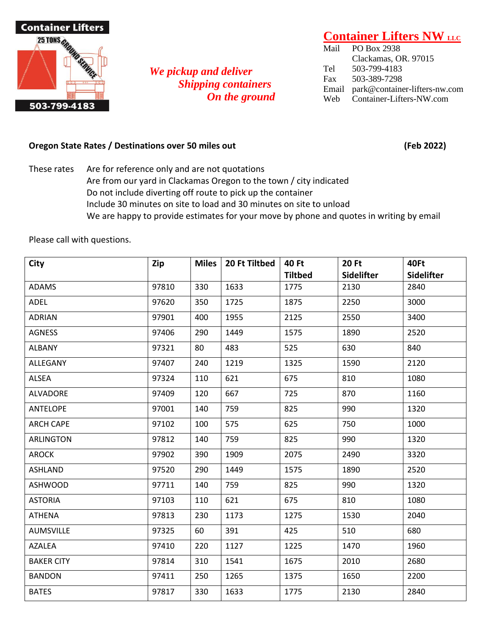

## *We pickup and deliver Shipping containers On the ground*

## **Container Lifters NW LLC**

Mail PO Box 2938 Clackamas, OR. 97015 Tel 503-799-4183 Fax 503-389-7298 Email park@container-lifters-nw.com Web Container-Lifters-NW.com

## **Oregon State Rates / Destinations over 50 miles out (Feb 2022)**

These rates Are for reference only and are not quotations Are from our yard in Clackamas Oregon to the town / city indicated Do not include diverting off route to pick up the container Include 30 minutes on site to load and 30 minutes on site to unload We are happy to provide estimates for your move by phone and quotes in writing by email

Please call with questions.

| City              | Zip   | <b>Miles</b> | 20 Ft Tiltbed | 40 Ft          | <b>20 Ft</b>      | 40Ft              |
|-------------------|-------|--------------|---------------|----------------|-------------------|-------------------|
|                   |       |              |               | <b>Tiltbed</b> | <b>Sidelifter</b> | <b>Sidelifter</b> |
| <b>ADAMS</b>      | 97810 | 330          | 1633          | 1775           | 2130              | 2840              |
| ADEL              | 97620 | 350          | 1725          | 1875           | 2250              | 3000              |
| <b>ADRIAN</b>     | 97901 | 400          | 1955          | 2125           | 2550              | 3400              |
| <b>AGNESS</b>     | 97406 | 290          | 1449          | 1575           | 1890              | 2520              |
| <b>ALBANY</b>     | 97321 | 80           | 483           | 525            | 630               | 840               |
| ALLEGANY          | 97407 | 240          | 1219          | 1325           | 1590              | 2120              |
| ALSEA             | 97324 | 110          | 621           | 675            | 810               | 1080              |
| <b>ALVADORE</b>   | 97409 | 120          | 667           | 725            | 870               | 1160              |
| <b>ANTELOPE</b>   | 97001 | 140          | 759           | 825            | 990               | 1320              |
| <b>ARCH CAPE</b>  | 97102 | 100          | 575           | 625            | 750               | 1000              |
| <b>ARLINGTON</b>  | 97812 | 140          | 759           | 825            | 990               | 1320              |
| <b>AROCK</b>      | 97902 | 390          | 1909          | 2075           | 2490              | 3320              |
| ASHLAND           | 97520 | 290          | 1449          | 1575           | 1890              | 2520              |
| <b>ASHWOOD</b>    | 97711 | 140          | 759           | 825            | 990               | 1320              |
| <b>ASTORIA</b>    | 97103 | 110          | 621           | 675            | 810               | 1080              |
| <b>ATHENA</b>     | 97813 | 230          | 1173          | 1275           | 1530              | 2040              |
| <b>AUMSVILLE</b>  | 97325 | 60           | 391           | 425            | 510               | 680               |
| <b>AZALEA</b>     | 97410 | 220          | 1127          | 1225           | 1470              | 1960              |
| <b>BAKER CITY</b> | 97814 | 310          | 1541          | 1675           | 2010              | 2680              |
| <b>BANDON</b>     | 97411 | 250          | 1265          | 1375           | 1650              | 2200              |
| <b>BATES</b>      | 97817 | 330          | 1633          | 1775           | 2130              | 2840              |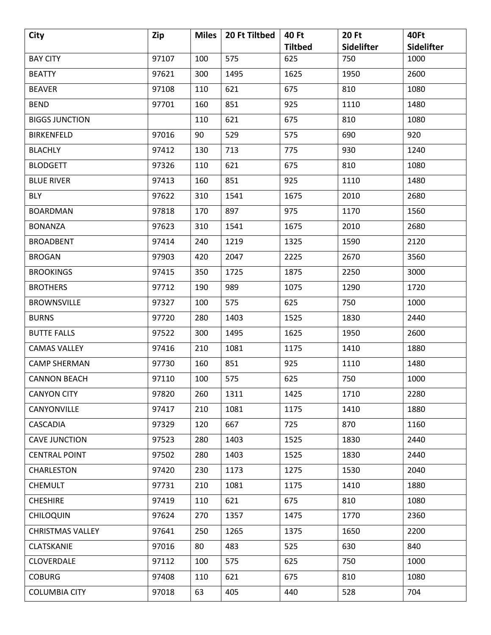| City                    | Zip   | <b>Miles</b> | 20 Ft Tiltbed | 40 Ft          | <b>20 Ft</b> | 40Ft              |
|-------------------------|-------|--------------|---------------|----------------|--------------|-------------------|
|                         |       |              |               | <b>Tiltbed</b> | Sidelifter   | <b>Sidelifter</b> |
| <b>BAY CITY</b>         | 97107 | 100          | 575           | 625            | 750          | 1000              |
| <b>BEATTY</b>           | 97621 | 300          | 1495          | 1625           | 1950         | 2600              |
| <b>BEAVER</b>           | 97108 | 110          | 621           | 675            | 810          | 1080              |
| <b>BEND</b>             | 97701 | 160          | 851           | 925            | 1110         | 1480              |
| <b>BIGGS JUNCTION</b>   |       | 110          | 621           | 675            | 810          | 1080              |
| <b>BIRKENFELD</b>       | 97016 | 90           | 529           | 575            | 690          | 920               |
| <b>BLACHLY</b>          | 97412 | 130          | 713           | 775            | 930          | 1240              |
| <b>BLODGETT</b>         | 97326 | 110          | 621           | 675            | 810          | 1080              |
| <b>BLUE RIVER</b>       | 97413 | 160          | 851           | 925            | 1110         | 1480              |
| <b>BLY</b>              | 97622 | 310          | 1541          | 1675           | 2010         | 2680              |
| <b>BOARDMAN</b>         | 97818 | 170          | 897           | 975            | 1170         | 1560              |
| <b>BONANZA</b>          | 97623 | 310          | 1541          | 1675           | 2010         | 2680              |
| <b>BROADBENT</b>        | 97414 | 240          | 1219          | 1325           | 1590         | 2120              |
| <b>BROGAN</b>           | 97903 | 420          | 2047          | 2225           | 2670         | 3560              |
| <b>BROOKINGS</b>        | 97415 | 350          | 1725          | 1875           | 2250         | 3000              |
| <b>BROTHERS</b>         | 97712 | 190          | 989           | 1075           | 1290         | 1720              |
| <b>BROWNSVILLE</b>      | 97327 | 100          | 575           | 625            | 750          | 1000              |
| <b>BURNS</b>            | 97720 | 280          | 1403          | 1525           | 1830         | 2440              |
| <b>BUTTE FALLS</b>      | 97522 | 300          | 1495          | 1625           | 1950         | 2600              |
| <b>CAMAS VALLEY</b>     | 97416 | 210          | 1081          | 1175           | 1410         | 1880              |
| <b>CAMP SHERMAN</b>     | 97730 | 160          | 851           | 925            | 1110         | 1480              |
| <b>CANNON BEACH</b>     | 97110 | 100          | 575           | 625            | 750          | 1000              |
| <b>CANYON CITY</b>      | 97820 | 260          | 1311          | 1425           | 1710         | 2280              |
| CANYONVILLE             | 97417 | 210          | 1081          | 1175           | 1410         | 1880              |
| <b>CASCADIA</b>         | 97329 | 120          | 667           | 725            | 870          | 1160              |
| <b>CAVE JUNCTION</b>    | 97523 | 280          | 1403          | 1525           | 1830         | 2440              |
| <b>CENTRAL POINT</b>    | 97502 | 280          | 1403          | 1525           | 1830         | 2440              |
| CHARLESTON              | 97420 | 230          | 1173          | 1275           | 1530         | 2040              |
| <b>CHEMULT</b>          | 97731 | 210          | 1081          | 1175           | 1410         | 1880              |
| <b>CHESHIRE</b>         | 97419 | 110          | 621           | 675            | 810          | 1080              |
| <b>CHILOQUIN</b>        | 97624 | 270          | 1357          | 1475           | 1770         | 2360              |
| <b>CHRISTMAS VALLEY</b> | 97641 | 250          | 1265          | 1375           | 1650         | 2200              |
| CLATSKANIE              | 97016 | 80           | 483           | 525            | 630          | 840               |
| <b>CLOVERDALE</b>       | 97112 | 100          | 575           | 625            | 750          | 1000              |
| <b>COBURG</b>           | 97408 | 110          | 621           | 675            | 810          | 1080              |
| <b>COLUMBIA CITY</b>    | 97018 | 63           | 405           | 440            | 528          | 704               |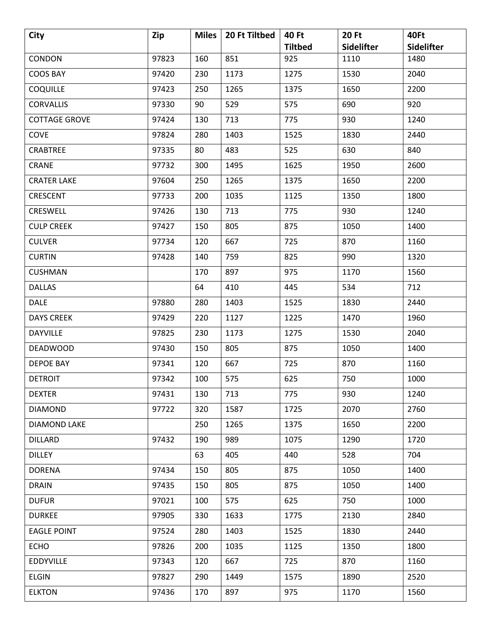| <b>City</b>          | Zip   | <b>Miles</b> | 20 Ft Tiltbed | 40 Ft          | <b>20 Ft</b> | 40Ft              |
|----------------------|-------|--------------|---------------|----------------|--------------|-------------------|
|                      |       |              |               | <b>Tiltbed</b> | Sidelifter   | <b>Sidelifter</b> |
| <b>CONDON</b>        | 97823 | 160          | 851           | 925            | 1110         | 1480              |
| <b>COOS BAY</b>      | 97420 | 230          | 1173          | 1275           | 1530         | 2040              |
| <b>COQUILLE</b>      | 97423 | 250          | 1265          | 1375           | 1650         | 2200              |
| <b>CORVALLIS</b>     | 97330 | 90           | 529           | 575            | 690          | 920               |
| <b>COTTAGE GROVE</b> | 97424 | 130          | 713           | 775            | 930          | 1240              |
| COVE                 | 97824 | 280          | 1403          | 1525           | 1830         | 2440              |
| CRABTREE             | 97335 | 80           | 483           | 525            | 630          | 840               |
| <b>CRANE</b>         | 97732 | 300          | 1495          | 1625           | 1950         | 2600              |
| <b>CRATER LAKE</b>   | 97604 | 250          | 1265          | 1375           | 1650         | 2200              |
| CRESCENT             | 97733 | 200          | 1035          | 1125           | 1350         | 1800              |
| <b>CRESWELL</b>      | 97426 | 130          | 713           | 775            | 930          | 1240              |
| <b>CULP CREEK</b>    | 97427 | 150          | 805           | 875            | 1050         | 1400              |
| <b>CULVER</b>        | 97734 | 120          | 667           | 725            | 870          | 1160              |
| <b>CURTIN</b>        | 97428 | 140          | 759           | 825            | 990          | 1320              |
| <b>CUSHMAN</b>       |       | 170          | 897           | 975            | 1170         | 1560              |
| <b>DALLAS</b>        |       | 64           | 410           | 445            | 534          | 712               |
| <b>DALE</b>          | 97880 | 280          | 1403          | 1525           | 1830         | 2440              |
| <b>DAYS CREEK</b>    | 97429 | 220          | 1127          | 1225           | 1470         | 1960              |
| <b>DAYVILLE</b>      | 97825 | 230          | 1173          | 1275           | 1530         | 2040              |
| <b>DEADWOOD</b>      | 97430 | 150          | 805           | 875            | 1050         | 1400              |
| DEPOE BAY            | 97341 | 120          | 667           | 725            | 870          | 1160              |
| <b>DETROIT</b>       | 97342 | 100          | 575           | 625            | 750          | 1000              |
| <b>DEXTER</b>        | 97431 | 130          | 713           | 775            | 930          | 1240              |
| <b>DIAMOND</b>       | 97722 | 320          | 1587          | 1725           | 2070         | 2760              |
| DIAMOND LAKE         |       | 250          | 1265          | 1375           | 1650         | 2200              |
| <b>DILLARD</b>       | 97432 | 190          | 989           | 1075           | 1290         | 1720              |
| <b>DILLEY</b>        |       | 63           | 405           | 440            | 528          | 704               |
| <b>DORENA</b>        | 97434 | 150          | 805           | 875            | 1050         | 1400              |
| <b>DRAIN</b>         | 97435 | 150          | 805           | 875            | 1050         | 1400              |
| <b>DUFUR</b>         | 97021 | 100          | 575           | 625            | 750          | 1000              |
| <b>DURKEE</b>        | 97905 | 330          | 1633          | 1775           | 2130         | 2840              |
| <b>EAGLE POINT</b>   | 97524 | 280          | 1403          | 1525           | 1830         | 2440              |
| <b>ECHO</b>          | 97826 | 200          | 1035          | 1125           | 1350         | 1800              |
| <b>EDDYVILLE</b>     | 97343 | 120          | 667           | 725            | 870          | 1160              |
| ELGIN                | 97827 | 290          | 1449          | 1575           | 1890         | 2520              |
| <b>ELKTON</b>        | 97436 | 170          | 897           | 975            | 1170         | 1560              |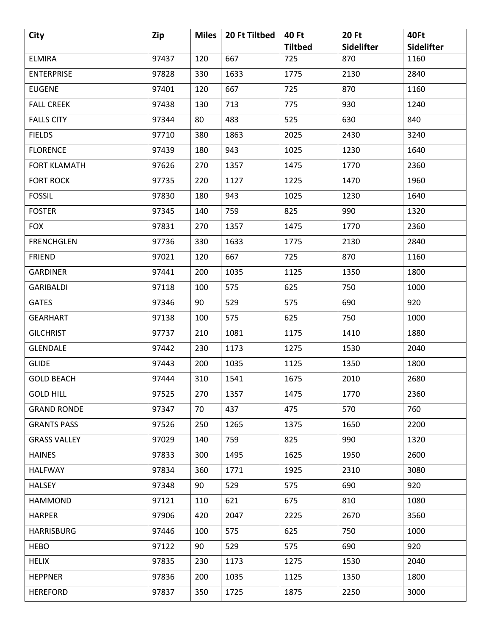| <b>City</b>         | Zip   | <b>Miles</b> | 20 Ft Tiltbed | 40 Ft          | <b>20 Ft</b> | 40Ft              |
|---------------------|-------|--------------|---------------|----------------|--------------|-------------------|
|                     |       |              |               | <b>Tiltbed</b> | Sidelifter   | <b>Sidelifter</b> |
| <b>ELMIRA</b>       | 97437 | 120          | 667           | 725            | 870          | 1160              |
| <b>ENTERPRISE</b>   | 97828 | 330          | 1633          | 1775           | 2130         | 2840              |
| <b>EUGENE</b>       | 97401 | 120          | 667           | 725            | 870          | 1160              |
| <b>FALL CREEK</b>   | 97438 | 130          | 713           | 775            | 930          | 1240              |
| <b>FALLS CITY</b>   | 97344 | 80           | 483           | 525            | 630          | 840               |
| <b>FIELDS</b>       | 97710 | 380          | 1863          | 2025           | 2430         | 3240              |
| <b>FLORENCE</b>     | 97439 | 180          | 943           | 1025           | 1230         | 1640              |
| <b>FORT KLAMATH</b> | 97626 | 270          | 1357          | 1475           | 1770         | 2360              |
| <b>FORT ROCK</b>    | 97735 | 220          | 1127          | 1225           | 1470         | 1960              |
| <b>FOSSIL</b>       | 97830 | 180          | 943           | 1025           | 1230         | 1640              |
| <b>FOSTER</b>       | 97345 | 140          | 759           | 825            | 990          | 1320              |
| <b>FOX</b>          | 97831 | 270          | 1357          | 1475           | 1770         | 2360              |
| <b>FRENCHGLEN</b>   | 97736 | 330          | 1633          | 1775           | 2130         | 2840              |
| <b>FRIEND</b>       | 97021 | 120          | 667           | 725            | 870          | 1160              |
| <b>GARDINER</b>     | 97441 | 200          | 1035          | 1125           | 1350         | 1800              |
| <b>GARIBALDI</b>    | 97118 | 100          | 575           | 625            | 750          | 1000              |
| <b>GATES</b>        | 97346 | 90           | 529           | 575            | 690          | 920               |
| <b>GEARHART</b>     | 97138 | 100          | 575           | 625            | 750          | 1000              |
| <b>GILCHRIST</b>    | 97737 | 210          | 1081          | 1175           | 1410         | 1880              |
| <b>GLENDALE</b>     | 97442 | 230          | 1173          | 1275           | 1530         | 2040              |
| <b>GLIDE</b>        | 97443 | 200          | 1035          | 1125           | 1350         | 1800              |
| <b>GOLD BEACH</b>   | 97444 | 310          | 1541          | 1675           | 2010         | 2680              |
| <b>GOLD HILL</b>    | 97525 | 270          | 1357          | 1475           | 1770         | 2360              |
| <b>GRAND RONDE</b>  | 97347 | 70           | 437           | 475            | 570          | 760               |
| <b>GRANTS PASS</b>  | 97526 | 250          | 1265          | 1375           | 1650         | 2200              |
| <b>GRASS VALLEY</b> | 97029 | 140          | 759           | 825            | 990          | 1320              |
| <b>HAINES</b>       | 97833 | 300          | 1495          | 1625           | 1950         | 2600              |
| <b>HALFWAY</b>      | 97834 | 360          | 1771          | 1925           | 2310         | 3080              |
| <b>HALSEY</b>       | 97348 | 90           | 529           | 575            | 690          | 920               |
| <b>HAMMOND</b>      | 97121 | 110          | 621           | 675            | 810          | 1080              |
| <b>HARPER</b>       | 97906 | 420          | 2047          | 2225           | 2670         | 3560              |
| <b>HARRISBURG</b>   | 97446 | 100          | 575           | 625            | 750          | 1000              |
| <b>HEBO</b>         | 97122 | 90           | 529           | 575            | 690          | 920               |
| <b>HELIX</b>        | 97835 | 230          | 1173          | 1275           | 1530         | 2040              |
| <b>HEPPNER</b>      | 97836 | 200          | 1035          | 1125           | 1350         | 1800              |
| <b>HEREFORD</b>     | 97837 | 350          | 1725          | 1875           | 2250         | 3000              |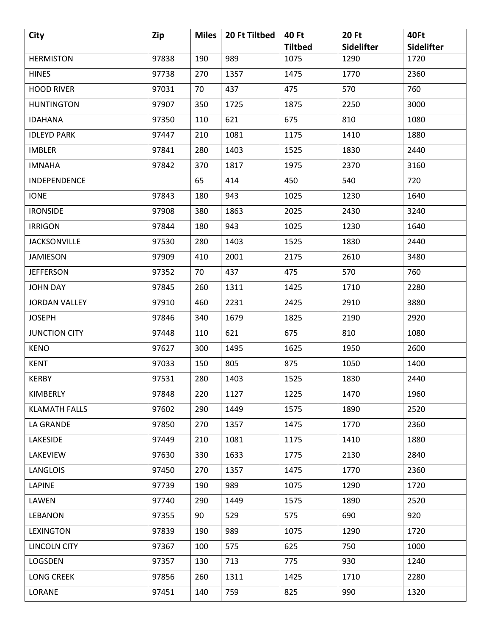| <b>City</b>          | Zip   | <b>Miles</b> | 20 Ft Tiltbed | 40 Ft          | <b>20 Ft</b> | 40Ft              |
|----------------------|-------|--------------|---------------|----------------|--------------|-------------------|
|                      |       |              |               | <b>Tiltbed</b> | Sidelifter   | <b>Sidelifter</b> |
| <b>HERMISTON</b>     | 97838 | 190          | 989           | 1075           | 1290         | 1720              |
| <b>HINES</b>         | 97738 | 270          | 1357          | 1475           | 1770         | 2360              |
| <b>HOOD RIVER</b>    | 97031 | 70           | 437           | 475            | 570          | 760               |
| <b>HUNTINGTON</b>    | 97907 | 350          | 1725          | 1875           | 2250         | 3000              |
| <b>IDAHANA</b>       | 97350 | 110          | 621           | 675            | 810          | 1080              |
| <b>IDLEYD PARK</b>   | 97447 | 210          | 1081          | 1175           | 1410         | 1880              |
| <b>IMBLER</b>        | 97841 | 280          | 1403          | 1525           | 1830         | 2440              |
| <b>IMNAHA</b>        | 97842 | 370          | 1817          | 1975           | 2370         | 3160              |
| <b>INDEPENDENCE</b>  |       | 65           | 414           | 450            | 540          | 720               |
| <b>IONE</b>          | 97843 | 180          | 943           | 1025           | 1230         | 1640              |
| <b>IRONSIDE</b>      | 97908 | 380          | 1863          | 2025           | 2430         | 3240              |
| <b>IRRIGON</b>       | 97844 | 180          | 943           | 1025           | 1230         | 1640              |
| <b>JACKSONVILLE</b>  | 97530 | 280          | 1403          | 1525           | 1830         | 2440              |
| JAMIESON             | 97909 | 410          | 2001          | 2175           | 2610         | 3480              |
| <b>JEFFERSON</b>     | 97352 | 70           | 437           | 475            | 570          | 760               |
| <b>JOHN DAY</b>      | 97845 | 260          | 1311          | 1425           | 1710         | 2280              |
| <b>JORDAN VALLEY</b> | 97910 | 460          | 2231          | 2425           | 2910         | 3880              |
| <b>JOSEPH</b>        | 97846 | 340          | 1679          | 1825           | 2190         | 2920              |
| <b>JUNCTION CITY</b> | 97448 | 110          | 621           | 675            | 810          | 1080              |
| <b>KENO</b>          | 97627 | 300          | 1495          | 1625           | 1950         | 2600              |
| <b>KENT</b>          | 97033 | 150          | 805           | 875            | 1050         | 1400              |
| <b>KERBY</b>         | 97531 | 280          | 1403          | 1525           | 1830         | 2440              |
| KIMBERLY             | 97848 | 220          | 1127          | 1225           | 1470         | 1960              |
| <b>KLAMATH FALLS</b> | 97602 | 290          | 1449          | 1575           | 1890         | 2520              |
| LA GRANDE            | 97850 | 270          | 1357          | 1475           | 1770         | 2360              |
| LAKESIDE             | 97449 | 210          | 1081          | 1175           | 1410         | 1880              |
| LAKEVIEW             | 97630 | 330          | 1633          | 1775           | 2130         | 2840              |
| <b>LANGLOIS</b>      | 97450 | 270          | 1357          | 1475           | 1770         | 2360              |
| <b>LAPINE</b>        | 97739 | 190          | 989           | 1075           | 1290         | 1720              |
| LAWEN                | 97740 | 290          | 1449          | 1575           | 1890         | 2520              |
| <b>LEBANON</b>       | 97355 | 90           | 529           | 575            | 690          | 920               |
| <b>LEXINGTON</b>     | 97839 | 190          | 989           | 1075           | 1290         | 1720              |
| <b>LINCOLN CITY</b>  | 97367 | 100          | 575           | 625            | 750          | 1000              |
| LOGSDEN              | 97357 | 130          | 713           | 775            | 930          | 1240              |
| <b>LONG CREEK</b>    | 97856 | 260          | 1311          | 1425           | 1710         | 2280              |
| LORANE               | 97451 | 140          | 759           | 825            | 990          | 1320              |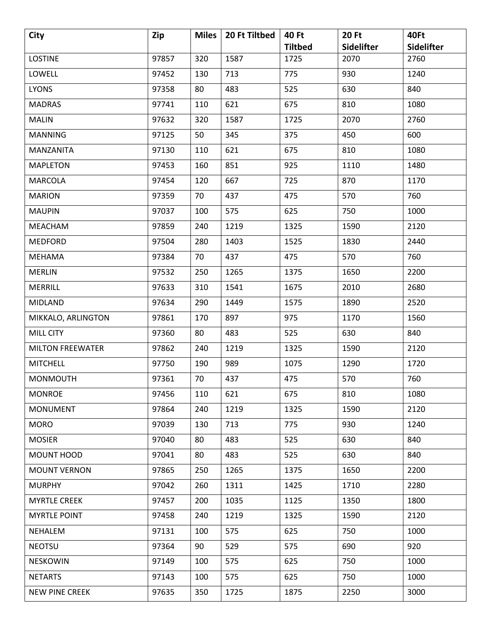| <b>City</b>             | Zip   | <b>Miles</b> | 20 Ft Tiltbed | 40 Ft          | <b>20 Ft</b> | 40Ft       |
|-------------------------|-------|--------------|---------------|----------------|--------------|------------|
|                         |       |              |               | <b>Tiltbed</b> | Sidelifter   | Sidelifter |
| <b>LOSTINE</b>          | 97857 | 320          | 1587          | 1725           | 2070         | 2760       |
| LOWELL                  | 97452 | 130          | 713           | 775            | 930          | 1240       |
| <b>LYONS</b>            | 97358 | 80           | 483           | 525            | 630          | 840        |
| <b>MADRAS</b>           | 97741 | 110          | 621           | 675            | 810          | 1080       |
| <b>MALIN</b>            | 97632 | 320          | 1587          | 1725           | 2070         | 2760       |
| <b>MANNING</b>          | 97125 | 50           | 345           | 375            | 450          | 600        |
| MANZANITA               | 97130 | 110          | 621           | 675            | 810          | 1080       |
| <b>MAPLETON</b>         | 97453 | 160          | 851           | 925            | 1110         | 1480       |
| <b>MARCOLA</b>          | 97454 | 120          | 667           | 725            | 870          | 1170       |
| <b>MARION</b>           | 97359 | 70           | 437           | 475            | 570          | 760        |
| <b>MAUPIN</b>           | 97037 | 100          | 575           | 625            | 750          | 1000       |
| <b>MEACHAM</b>          | 97859 | 240          | 1219          | 1325           | 1590         | 2120       |
| <b>MEDFORD</b>          | 97504 | 280          | 1403          | 1525           | 1830         | 2440       |
| <b>MEHAMA</b>           | 97384 | 70           | 437           | 475            | 570          | 760        |
| <b>MERLIN</b>           | 97532 | 250          | 1265          | 1375           | 1650         | 2200       |
| <b>MERRILL</b>          | 97633 | 310          | 1541          | 1675           | 2010         | 2680       |
| MIDLAND                 | 97634 | 290          | 1449          | 1575           | 1890         | 2520       |
| MIKKALO, ARLINGTON      | 97861 | 170          | 897           | 975            | 1170         | 1560       |
| <b>MILL CITY</b>        | 97360 | 80           | 483           | 525            | 630          | 840        |
| <b>MILTON FREEWATER</b> | 97862 | 240          | 1219          | 1325           | 1590         | 2120       |
| <b>MITCHELL</b>         | 97750 | 190          | 989           | 1075           | 1290         | 1720       |
| <b>MONMOUTH</b>         | 97361 | 70           | 437           | 475            | 570          | 760        |
| <b>MONROE</b>           | 97456 | 110          | 621           | 675            | 810          | 1080       |
| <b>MONUMENT</b>         | 97864 | 240          | 1219          | 1325           | 1590         | 2120       |
| <b>MORO</b>             | 97039 | 130          | 713           | 775            | 930          | 1240       |
| <b>MOSIER</b>           | 97040 | 80           | 483           | 525            | 630          | 840        |
| MOUNT HOOD              | 97041 | 80           | 483           | 525            | 630          | 840        |
| <b>MOUNT VERNON</b>     | 97865 | 250          | 1265          | 1375           | 1650         | 2200       |
| <b>MURPHY</b>           | 97042 | 260          | 1311          | 1425           | 1710         | 2280       |
| <b>MYRTLE CREEK</b>     | 97457 | 200          | 1035          | 1125           | 1350         | 1800       |
| <b>MYRTLE POINT</b>     | 97458 | 240          | 1219          | 1325           | 1590         | 2120       |
| NEHALEM                 | 97131 | 100          | 575           | 625            | 750          | 1000       |
| <b>NEOTSU</b>           | 97364 | 90           | 529           | 575            | 690          | 920        |
| <b>NESKOWIN</b>         | 97149 | 100          | 575           | 625            | 750          | 1000       |
| <b>NETARTS</b>          | 97143 | 100          | 575           | 625            | 750          | 1000       |
| NEW PINE CREEK          | 97635 | 350          | 1725          | 1875           | 2250         | 3000       |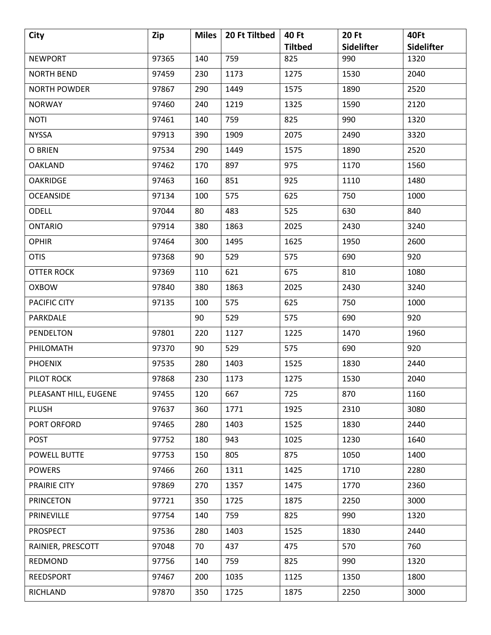| City                  | Zip   | <b>Miles</b> | 20 Ft Tiltbed | <b>40 Ft</b>   | <b>20 Ft</b>      | 40Ft              |
|-----------------------|-------|--------------|---------------|----------------|-------------------|-------------------|
|                       |       |              |               | <b>Tiltbed</b> | <b>Sidelifter</b> | <b>Sidelifter</b> |
| <b>NEWPORT</b>        | 97365 | 140          | 759           | 825            | 990               | 1320              |
| <b>NORTH BEND</b>     | 97459 | 230          | 1173          | 1275           | 1530              | 2040              |
| <b>NORTH POWDER</b>   | 97867 | 290          | 1449          | 1575           | 1890              | 2520              |
| <b>NORWAY</b>         | 97460 | 240          | 1219          | 1325           | 1590              | 2120              |
| <b>NOTI</b>           | 97461 | 140          | 759           | 825            | 990               | 1320              |
| <b>NYSSA</b>          | 97913 | 390          | 1909          | 2075           | 2490              | 3320              |
| O BRIEN               | 97534 | 290          | 1449          | 1575           | 1890              | 2520              |
| <b>OAKLAND</b>        | 97462 | 170          | 897           | 975            | 1170              | 1560              |
| <b>OAKRIDGE</b>       | 97463 | 160          | 851           | 925            | 1110              | 1480              |
| <b>OCEANSIDE</b>      | 97134 | 100          | 575           | 625            | 750               | 1000              |
| <b>ODELL</b>          | 97044 | 80           | 483           | 525            | 630               | 840               |
| <b>ONTARIO</b>        | 97914 | 380          | 1863          | 2025           | 2430              | 3240              |
| <b>OPHIR</b>          | 97464 | 300          | 1495          | 1625           | 1950              | 2600              |
| <b>OTIS</b>           | 97368 | 90           | 529           | 575            | 690               | 920               |
| <b>OTTER ROCK</b>     | 97369 | 110          | 621           | 675            | 810               | 1080              |
| <b>OXBOW</b>          | 97840 | 380          | 1863          | 2025           | 2430              | 3240              |
| PACIFIC CITY          | 97135 | 100          | 575           | 625            | 750               | 1000              |
| PARKDALE              |       | 90           | 529           | 575            | 690               | 920               |
| PENDELTON             | 97801 | 220          | 1127          | 1225           | 1470              | 1960              |
| PHILOMATH             | 97370 | 90           | 529           | 575            | 690               | 920               |
| <b>PHOENIX</b>        | 97535 | 280          | 1403          | 1525           | 1830              | 2440              |
| PILOT ROCK            | 97868 | 230          | 1173          | 1275           | 1530              | 2040              |
| PLEASANT HILL, EUGENE | 97455 | 120          | 667           | 725            | 870               | 1160              |
| <b>PLUSH</b>          | 97637 | 360          | 1771          | 1925           | 2310              | 3080              |
| PORT ORFORD           | 97465 | 280          | 1403          | 1525           | 1830              | 2440              |
| <b>POST</b>           | 97752 | 180          | 943           | 1025           | 1230              | 1640              |
| POWELL BUTTE          | 97753 | 150          | 805           | 875            | 1050              | 1400              |
| <b>POWERS</b>         | 97466 | 260          | 1311          | 1425           | 1710              | 2280              |
| PRAIRIE CITY          | 97869 | 270          | 1357          | 1475           | 1770              | 2360              |
| <b>PRINCETON</b>      | 97721 | 350          | 1725          | 1875           | 2250              | 3000              |
| PRINEVILLE            | 97754 | 140          | 759           | 825            | 990               | 1320              |
| <b>PROSPECT</b>       | 97536 | 280          | 1403          | 1525           | 1830              | 2440              |
| RAINIER, PRESCOTT     | 97048 | 70           | 437           | 475            | 570               | 760               |
| REDMOND               | 97756 | 140          | 759           | 825            | 990               | 1320              |
| <b>REEDSPORT</b>      | 97467 | 200          | 1035          | 1125           | 1350              | 1800              |
| RICHLAND              | 97870 | 350          | 1725          | 1875           | 2250              | 3000              |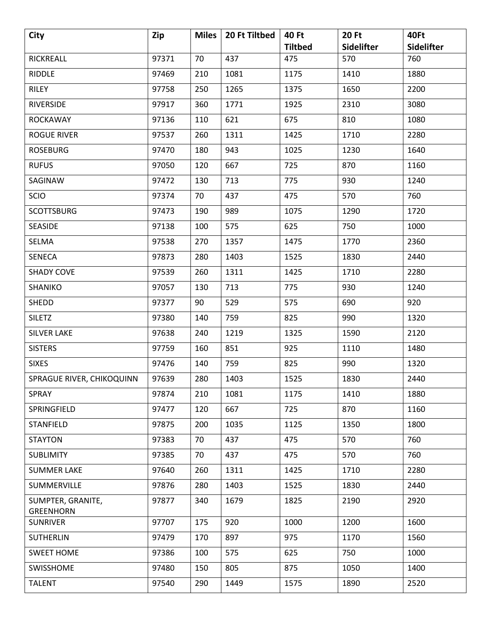| City                                  | Zip   | <b>Miles</b> | 20 Ft Tiltbed | 40 Ft          | <b>20 Ft</b>             | 40Ft                     |
|---------------------------------------|-------|--------------|---------------|----------------|--------------------------|--------------------------|
|                                       | 97371 | 70           | 437           | <b>Tiltbed</b> | <b>Sidelifter</b><br>570 | <b>Sidelifter</b><br>760 |
| RICKREALL                             |       |              |               | 475            |                          |                          |
| RIDDLE                                | 97469 | 210          | 1081          | 1175           | 1410                     | 1880                     |
| <b>RILEY</b>                          | 97758 | 250          | 1265          | 1375           | 1650                     | 2200                     |
| <b>RIVERSIDE</b>                      | 97917 | 360          | 1771          | 1925           | 2310                     | 3080                     |
| <b>ROCKAWAY</b>                       | 97136 | 110          | 621           | 675            | 810                      | 1080                     |
| <b>ROGUE RIVER</b>                    | 97537 | 260          | 1311          | 1425           | 1710                     | 2280                     |
| <b>ROSEBURG</b>                       | 97470 | 180          | 943           | 1025           | 1230                     | 1640                     |
| <b>RUFUS</b>                          | 97050 | 120          | 667           | 725            | 870                      | 1160                     |
| SAGINAW                               | 97472 | 130          | 713           | 775            | 930                      | 1240                     |
| <b>SCIO</b>                           | 97374 | 70           | 437           | 475            | 570                      | 760                      |
| <b>SCOTTSBURG</b>                     | 97473 | 190          | 989           | 1075           | 1290                     | 1720                     |
| <b>SEASIDE</b>                        | 97138 | 100          | 575           | 625            | 750                      | 1000                     |
| <b>SELMA</b>                          | 97538 | 270          | 1357          | 1475           | 1770                     | 2360                     |
| <b>SENECA</b>                         | 97873 | 280          | 1403          | 1525           | 1830                     | 2440                     |
| <b>SHADY COVE</b>                     | 97539 | 260          | 1311          | 1425           | 1710                     | 2280                     |
| SHANIKO                               | 97057 | 130          | 713           | 775            | 930                      | 1240                     |
| SHEDD                                 | 97377 | 90           | 529           | 575            | 690                      | 920                      |
| <b>SILETZ</b>                         | 97380 | 140          | 759           | 825            | 990                      | 1320                     |
| <b>SILVER LAKE</b>                    | 97638 | 240          | 1219          | 1325           | 1590                     | 2120                     |
| <b>SISTERS</b>                        | 97759 | 160          | 851           | 925            | 1110                     | 1480                     |
| <b>SIXES</b>                          | 97476 | 140          | 759           | 825            | 990                      | 1320                     |
| SPRAGUE RIVER, CHIKOQUINN             | 97639 | 280          | 1403          | 1525           | 1830                     | 2440                     |
| <b>SPRAY</b>                          | 97874 | 210          | 1081          | 1175           | 1410                     | 1880                     |
| SPRINGFIELD                           | 97477 | 120          | 667           | 725            | 870                      | 1160                     |
| <b>STANFIELD</b>                      | 97875 | 200          | 1035          | 1125           | 1350                     | 1800                     |
| <b>STAYTON</b>                        | 97383 | 70           | 437           | 475            | 570                      | 760                      |
| <b>SUBLIMITY</b>                      | 97385 | 70           | 437           | 475            | 570                      | 760                      |
| <b>SUMMER LAKE</b>                    | 97640 | 260          | 1311          | 1425           | 1710                     | 2280                     |
| SUMMERVILLE                           | 97876 | 280          | 1403          | 1525           | 1830                     | 2440                     |
| SUMPTER, GRANITE,<br><b>GREENHORN</b> | 97877 | 340          | 1679          | 1825           | 2190                     | 2920                     |
| <b>SUNRIVER</b>                       | 97707 | 175          | 920           | 1000           | 1200                     | 1600                     |
| <b>SUTHERLIN</b>                      | 97479 | 170          | 897           | 975            | 1170                     | 1560                     |
| <b>SWEET HOME</b>                     | 97386 | 100          | 575           | 625            | 750                      | 1000                     |
| SWISSHOME                             | 97480 | 150          | 805           | 875            | 1050                     | 1400                     |
| <b>TALENT</b>                         | 97540 | 290          | 1449          | 1575           | 1890                     | 2520                     |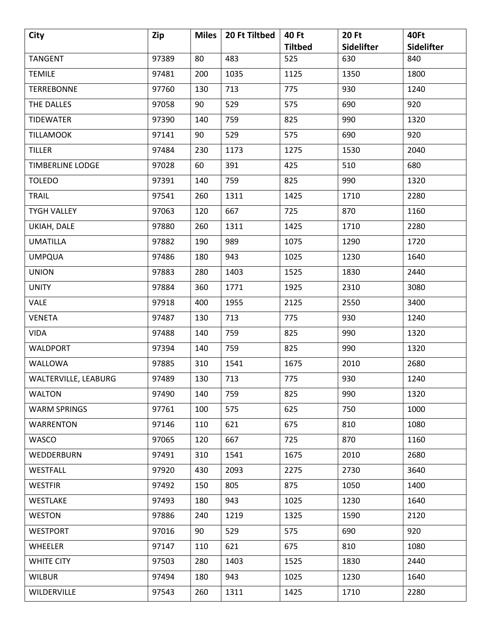| <b>City</b>             | Zip   | <b>Miles</b> | 20 Ft Tiltbed | 40 Ft          | <b>20 Ft</b> | 40Ft       |
|-------------------------|-------|--------------|---------------|----------------|--------------|------------|
|                         |       |              |               | <b>Tiltbed</b> | Sidelifter   | Sidelifter |
| <b>TANGENT</b>          | 97389 | 80           | 483           | 525            | 630          | 840        |
| <b>TEMILE</b>           | 97481 | 200          | 1035          | 1125           | 1350         | 1800       |
| <b>TERREBONNE</b>       | 97760 | 130          | 713           | 775            | 930          | 1240       |
| THE DALLES              | 97058 | 90           | 529           | 575            | 690          | 920        |
| <b>TIDEWATER</b>        | 97390 | 140          | 759           | 825            | 990          | 1320       |
| <b>TILLAMOOK</b>        | 97141 | 90           | 529           | 575            | 690          | 920        |
| <b>TILLER</b>           | 97484 | 230          | 1173          | 1275           | 1530         | 2040       |
| <b>TIMBERLINE LODGE</b> | 97028 | 60           | 391           | 425            | 510          | 680        |
| <b>TOLEDO</b>           | 97391 | 140          | 759           | 825            | 990          | 1320       |
| <b>TRAIL</b>            | 97541 | 260          | 1311          | 1425           | 1710         | 2280       |
| <b>TYGH VALLEY</b>      | 97063 | 120          | 667           | 725            | 870          | 1160       |
| UKIAH, DALE             | 97880 | 260          | 1311          | 1425           | 1710         | 2280       |
| <b>UMATILLA</b>         | 97882 | 190          | 989           | 1075           | 1290         | 1720       |
| <b>UMPQUA</b>           | 97486 | 180          | 943           | 1025           | 1230         | 1640       |
| <b>UNION</b>            | 97883 | 280          | 1403          | 1525           | 1830         | 2440       |
| <b>UNITY</b>            | 97884 | 360          | 1771          | 1925           | 2310         | 3080       |
| <b>VALE</b>             | 97918 | 400          | 1955          | 2125           | 2550         | 3400       |
| <b>VENETA</b>           | 97487 | 130          | 713           | 775            | 930          | 1240       |
| <b>VIDA</b>             | 97488 | 140          | 759           | 825            | 990          | 1320       |
| <b>WALDPORT</b>         | 97394 | 140          | 759           | 825            | 990          | 1320       |
| WALLOWA                 | 97885 | 310          | 1541          | 1675           | 2010         | 2680       |
| WALTERVILLE, LEABURG    | 97489 | 130          | 713           | 775            | 930          | 1240       |
| <b>WALTON</b>           | 97490 | 140          | 759           | 825            | 990          | 1320       |
| <b>WARM SPRINGS</b>     | 97761 | 100          | 575           | 625            | 750          | 1000       |
| <b>WARRENTON</b>        | 97146 | 110          | 621           | 675            | 810          | 1080       |
| <b>WASCO</b>            | 97065 | 120          | 667           | 725            | 870          | 1160       |
| WEDDERBURN              | 97491 | 310          | 1541          | 1675           | 2010         | 2680       |
| WESTFALL                | 97920 | 430          | 2093          | 2275           | 2730         | 3640       |
| <b>WESTFIR</b>          | 97492 | 150          | 805           | 875            | 1050         | 1400       |
| <b>WESTLAKE</b>         | 97493 | 180          | 943           | 1025           | 1230         | 1640       |
| <b>WESTON</b>           | 97886 | 240          | 1219          | 1325           | 1590         | 2120       |
| <b>WESTPORT</b>         | 97016 | 90           | 529           | 575            | 690          | 920        |
| <b>WHEELER</b>          | 97147 | 110          | 621           | 675            | 810          | 1080       |
| <b>WHITE CITY</b>       | 97503 | 280          | 1403          | 1525           | 1830         | 2440       |
| <b>WILBUR</b>           | 97494 | 180          | 943           | 1025           | 1230         | 1640       |
| WILDERVILLE             | 97543 | 260          | 1311          | 1425           | 1710         | 2280       |